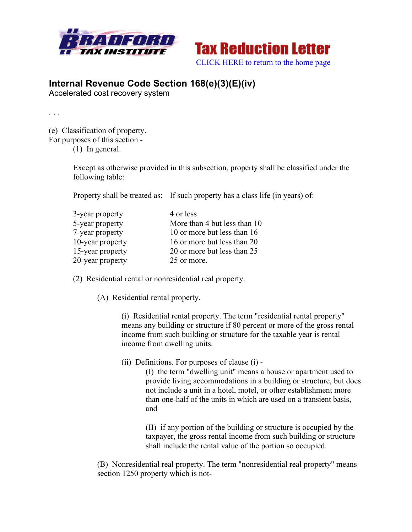



## **Internal Revenue Code Section 168(e)(3)(E)(iv)**

Accelerated cost recovery system

. . .

(e) Classification of property. For purposes of this section -

(1) In general.

Except as otherwise provided in this subsection, property shall be classified under the following table:

Property shall be treated as: If such property has a class life (in years) of:

| 3-year property  | 4 or less                    |
|------------------|------------------------------|
| 5-year property  | More than 4 but less than 10 |
| 7-year property  | 10 or more but less than 16  |
| 10-year property | 16 or more but less than 20  |
| 15-year property | 20 or more but less than 25  |
| 20-year property | 25 or more.                  |

(2) Residential rental or nonresidential real property.

(A) Residential rental property.

(i) Residential rental property. The term "residential rental property" means any building or structure if 80 percent or more of the gross rental income from such building or structure for the taxable year is rental income from dwelling units.

(ii) Definitions. For purposes of clause (i) -

(I) the term "dwelling unit" means a house or apartment used to provide living accommodations in a building or structure, but does not include a unit in a hotel, motel, or other establishment more than one-half of the units in which are used on a transient basis, and

(II) if any portion of the building or structure is occupied by the taxpayer, the gross rental income from such building or structure shall include the rental value of the portion so occupied.

(B) Nonresidential real property. The term "nonresidential real property" means section 1250 property which is not-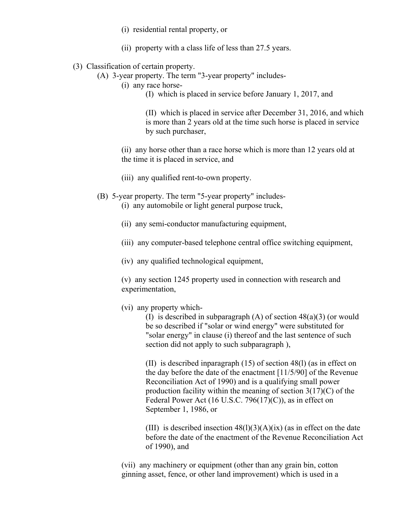- (i) residential rental property, or
- (ii) property with a class life of less than 27.5 years.
- (3) Classification of certain property.
	- (A) 3-year property. The term "3-year property" includes-
		- (i) any race horse-
			- (I) which is placed in service before January 1, 2017, and

(II) which is placed in service after December 31, 2016, and which is more than 2 years old at the time such horse is placed in service by such purchaser,

(ii) any horse other than a race horse which is more than 12 years old at the time it is placed in service, and

- (iii) any qualified rent-to-own property.
- (B) 5-year property. The term "5-year property" includes-

(i) any automobile or light general purpose truck,

- (ii) any semi-conductor manufacturing equipment,
- (iii) any computer-based telephone central office switching equipment,
- (iv) any qualified technological equipment,

(v) any section 1245 property used in connection with research and experimentation,

(vi) any property which-

(I) is described in subparagraph (A) of section 48(a)(3) (or would be so described if "solar or wind energy" were substituted for "solar energy" in clause (i) thereof and the last sentence of such section did not apply to such subparagraph ),

(II) is described inparagraph (15) of section 48(l) (as in effect on the day before the date of the enactment [11/5/90] of the Revenue Reconciliation Act of 1990) and is a qualifying small power production facility within the meaning of section 3(17)(C) of the Federal Power Act (16 U.S.C. 796(17)(C)), as in effect on September 1, 1986, or

(III) is described insection  $48(1)(3)(A)(ix)$  (as in effect on the date before the date of the enactment of the Revenue Reconciliation Act of 1990), and

(vii) any machinery or equipment (other than any grain bin, cotton ginning asset, fence, or other land improvement) which is used in a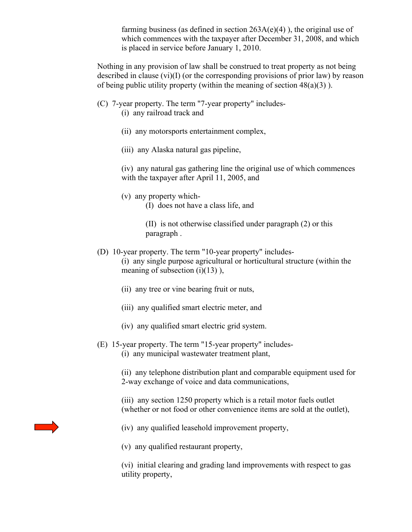farming business (as defined in section  $263A(e)(4)$ ), the original use of which commences with the taxpayer after December 31, 2008, and which is placed in service before January 1, 2010.

Nothing in any provision of law shall be construed to treat property as not being described in clause  $(vi)(I)$  (or the corresponding provisions of prior law) by reason of being public utility property (within the meaning of section  $48(a)(3)$ ).

- (C) 7-year property. The term "7-year property" includes-
	- (i) any railroad track and
	- (ii) any motorsports entertainment complex,
	- (iii) any Alaska natural gas pipeline,

(iv) any natural gas gathering line the original use of which commences with the taxpayer after April 11, 2005, and

- (v) any property which-
	- (I) does not have a class life, and

(II) is not otherwise classified under paragraph (2) or this paragraph .

(D) 10-year property. The term "10-year property" includes-

(i) any single purpose agricultural or horticultural structure (within the meaning of subsection  $(i)(13)$ ),

- (ii) any tree or vine bearing fruit or nuts,
- (iii) any qualified smart electric meter, and
- (iv) any qualified smart electric grid system.
- (E) 15-year property. The term "15-year property" includes- (i) any municipal wastewater treatment plant,

(ii) any telephone distribution plant and comparable equipment used for 2-way exchange of voice and data communications,

(iii) any section 1250 property which is a retail motor fuels outlet (whether or not food or other convenience items are sold at the outlet),



(v) any qualified restaurant property,

(vi) initial clearing and grading land improvements with respect to gas utility property,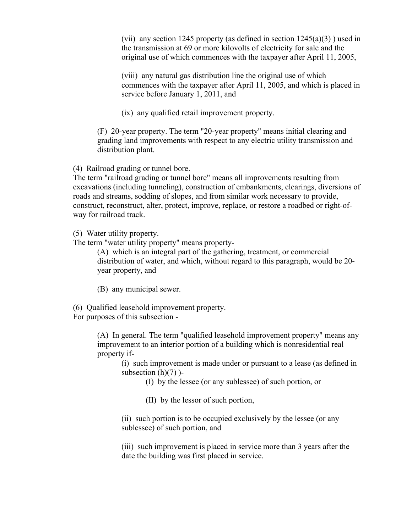(vii) any section 1245 property (as defined in section  $1245(a)(3)$ ) used in the transmission at 69 or more kilovolts of electricity for sale and the original use of which commences with the taxpayer after April 11, 2005,

(viii) any natural gas distribution line the original use of which commences with the taxpayer after April 11, 2005, and which is placed in service before January 1, 2011, and

(ix) any qualified retail improvement property.

(F) 20-year property. The term "20-year property" means initial clearing and grading land improvements with respect to any electric utility transmission and distribution plant.

(4) Railroad grading or tunnel bore.

The term "railroad grading or tunnel bore" means all improvements resulting from excavations (including tunneling), construction of embankments, clearings, diversions of roads and streams, sodding of slopes, and from similar work necessary to provide, construct, reconstruct, alter, protect, improve, replace, or restore a roadbed or right-ofway for railroad track.

(5) Water utility property.

The term "water utility property" means property-

(A) which is an integral part of the gathering, treatment, or commercial distribution of water, and which, without regard to this paragraph, would be 20 year property, and

(B) any municipal sewer.

(6) Qualified leasehold improvement property. For purposes of this subsection -

> (A) In general. The term "qualified leasehold improvement property" means any improvement to an interior portion of a building which is nonresidential real property if-

(i) such improvement is made under or pursuant to a lease (as defined in subsection  $(h)(7)$ )-

(I) by the lessee (or any sublessee) of such portion, or

(II) by the lessor of such portion,

(ii) such portion is to be occupied exclusively by the lessee (or any sublessee) of such portion, and

(iii) such improvement is placed in service more than 3 years after the date the building was first placed in service.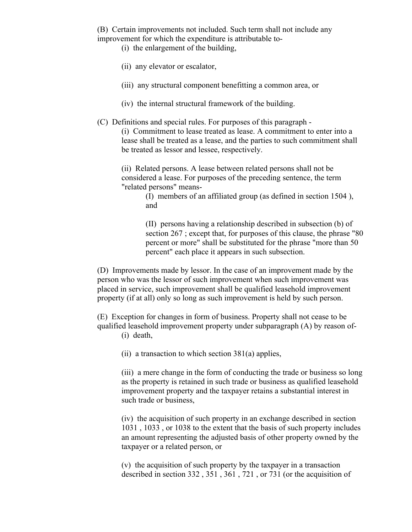(B) Certain improvements not included. Such term shall not include any improvement for which the expenditure is attributable to-

- (i) the enlargement of the building,
- (ii) any elevator or escalator,
- (iii) any structural component benefitting a common area, or
- (iv) the internal structural framework of the building.
- (C) Definitions and special rules. For purposes of this paragraph (i) Commitment to lease treated as lease. A commitment to enter into a lease shall be treated as a lease, and the parties to such commitment shall be treated as lessor and lessee, respectively.

(ii) Related persons. A lease between related persons shall not be considered a lease. For purposes of the preceding sentence, the term "related persons" means-

> (I) members of an affiliated group (as defined in section 1504 ), and

(II) persons having a relationship described in subsection (b) of section 267 ; except that, for purposes of this clause, the phrase "80 percent or more" shall be substituted for the phrase "more than 50 percent" each place it appears in such subsection.

(D) Improvements made by lessor. In the case of an improvement made by the person who was the lessor of such improvement when such improvement was placed in service, such improvement shall be qualified leasehold improvement property (if at all) only so long as such improvement is held by such person.

(E) Exception for changes in form of business. Property shall not cease to be qualified leasehold improvement property under subparagraph (A) by reason of- (i) death,

(ii) a transaction to which section  $381(a)$  applies,

(iii) a mere change in the form of conducting the trade or business so long as the property is retained in such trade or business as qualified leasehold improvement property and the taxpayer retains a substantial interest in such trade or business,

(iv) the acquisition of such property in an exchange described in section 1031 , 1033 , or 1038 to the extent that the basis of such property includes an amount representing the adjusted basis of other property owned by the taxpayer or a related person, or

(v) the acquisition of such property by the taxpayer in a transaction described in section 332 , 351 , 361 , 721 , or 731 (or the acquisition of